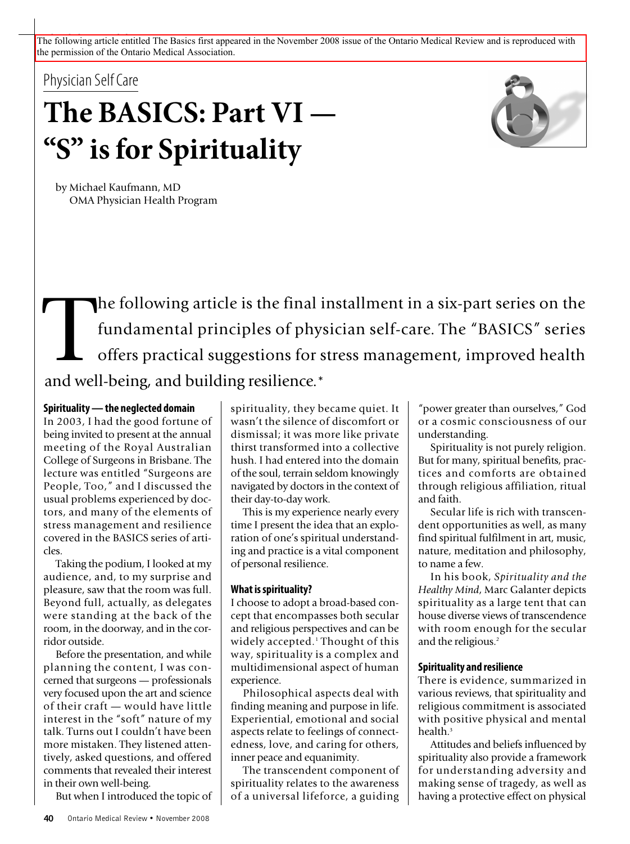The following article entitled The Basics first appeared in the November 2008 issue of the Ontario Medical Review and is reproduced with the permission of the Ontario Medical Association.

Physician Self Care

# **The BASICS: Part VI — "S" isfor Spirituality**



by Michael Kaufmann, MD OMA Physician Health Program

The following article is the final installment in a six-part series on the fundamental principles of physician self-care. The "BASICS" series offers practical suggestions for stress management, improved health and well bei fundamental principles of physician self-care. The "BASICS" series offers practical suggestions for stress management, improved health and well-being, and building resilience.\*

#### **Spirituality—the neglected domain**

In 2003, I had the good fortune of being invited to present at the annual meeting of the Royal Australian College of Surgeons in Brisbane. The lecture was entitled "Surgeons are People, Too," and I discussed the usual problems experienced by doctors, and many of the elements of stress management and resilience covered in the BASICS series of articles.

Taking the podium, I looked at my audience, and, to my surprise and pleasure, saw that the room was full. Beyond full, actually, as delegates were standing at the back of the room, in the doorway, and in the corridor outside.

Before the presentation, and while planning the content, I was concerned that surgeons — professionals very focused upon the art and science of their craft — would have little interest in the "soft" nature of my talk. Turns out I couldn't have been more mistaken. They listened attentively, asked questions, and offered comments that revealed their interest in their own well-being.

But when I introduced the topic of

spirituality, they became quiet. It wasn't the silence of discomfort or dismissal; it was more like private thirst transformed into a collective hush. I had entered into the domain of the soul, terrain seldom knowingly navigated by doctors in the context of their day-to-day work.

This is my experience nearly every time I present the idea that an exploration of one's spiritual understanding and practice is a vital component of personal resilience.

## **What is spirituality?**

I choose to adopt a broad-based concept that encompasses both secular and religious perspectives and can be widely accepted. <sup>1</sup> Thought of this way, spirituality is a complex and multidimensional aspect of human experience.

Philosophical aspects deal with finding meaning and purpose in life. Experiential, emotional and social aspects relate to feelings of connectedness, love, and caring for others, inner peace and equanimity.

The transcendent component of spirituality relates to the awareness of a universal lifeforce, a guiding

"power greater than ourselves," God or a cosmic consciousness of our understanding.

Spirituality is not purely religion. But for many, spiritual benefits, practices and comforts are obtained through religious affiliation, ritual and faith.

Secular life is rich with transcendent opportunities as well, as many find spiritual fulfilment in art, music, nature, meditation and philosophy, to name a few.

In his book, *Spirituality and the Healthy Mind*, Marc Galanter depicts spirituality as a large tent that can house diverse views of transcendence with room enough for the secular and the religious. 2

## **Spirituality and resilience**

There is evidence, summarized in various reviews, that spirituality and religious commitment is associated with positive physical and mental health. 3

Attitudes and beliefs influenced by spirituality also provide a framework for understanding adversity and making sense of tragedy, as well as having a protective effect on physical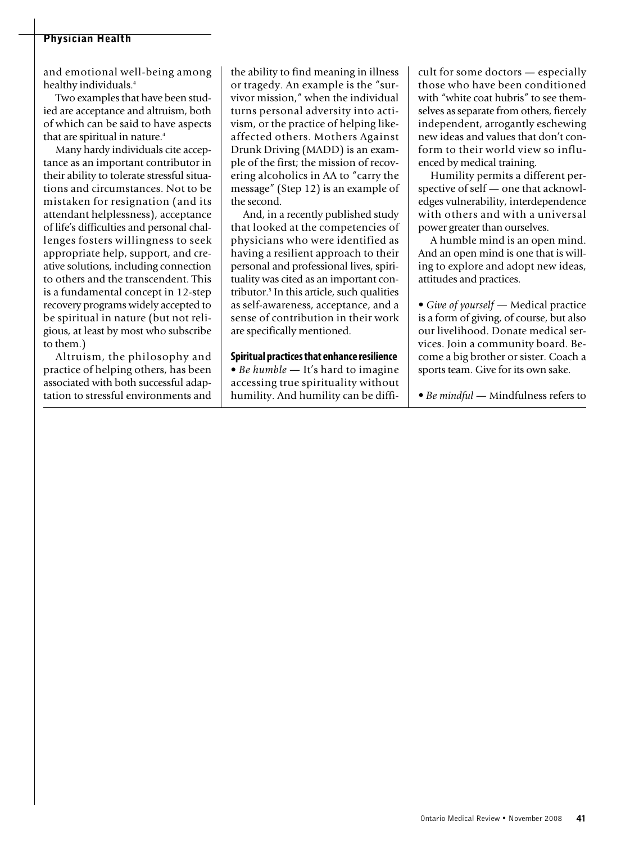## **Physician Health**

and emotional well-being among healthy individuals. 4

Two examples that have been studied are acceptance and altruism, both of which can be said to have aspects that are spiritual in nature. 4

Many hardy individuals cite acceptance as an important contributor in their ability to tolerate stressful situations and circumstances. Not to be mistaken for resignation (and its attendant helplessness), acceptance of life's difficulties and personal challenges fosters willingness to seek appropriate help, support, and creative solutions, including connection to others and the transcendent. This is a fundamental concept in 12-step recovery programs widely accepted to be spiritual in nature (but not religious, at least by most who subscribe to them.)

Altruism, the philosophy and practice of helping others, has been associated with both successful adaptation to stressful environments and

the ability to find meaning in illness or tragedy. An example is the "survivor mission," when the individual turns personal adversity into activism, or the practice of helping likeaffected others. Mothers Against Drunk Driving (MADD) is an example of the first; the mission of recovering alcoholics in AA to "carry the message" (Step 12) is an example of the second.

And, in a recently published study that looked at the competencies of physicians who were identified as having a resilient approach to their personal and professional lives, spirituality was cited as an important contributor. <sup>5</sup> In this article, such qualities as self-awareness, acceptance, and a sense of contribution in their work are specifically mentioned.

**Spiritual practicesthat enhance resilience** • *Be humble —* It's hard to imagine accessing true spirituality without humility. And humility can be difficult for some doctors — especially those who have been conditioned with "white coat hubris" to see themselves as separate from others, fiercely independent, arrogantly eschewing new ideas and values that don't conform to their world view so influenced by medical training.

Humility permits a different perspective of self — one that acknowledges vulnerability, interdependence with others and with a universal power greater than ourselves.

A humble mind is an open mind. And an open mind is one that is willing to explore and adopt new ideas, attitudes and practices.

*• Give of yourself —* Medical practice is a form of giving, of course, but also our livelihood. Donate medical services. Join a community board. Become a big brother or sister. Coach a sports team. Give for its own sake.

*• Be mindful —* Mindfulness refers to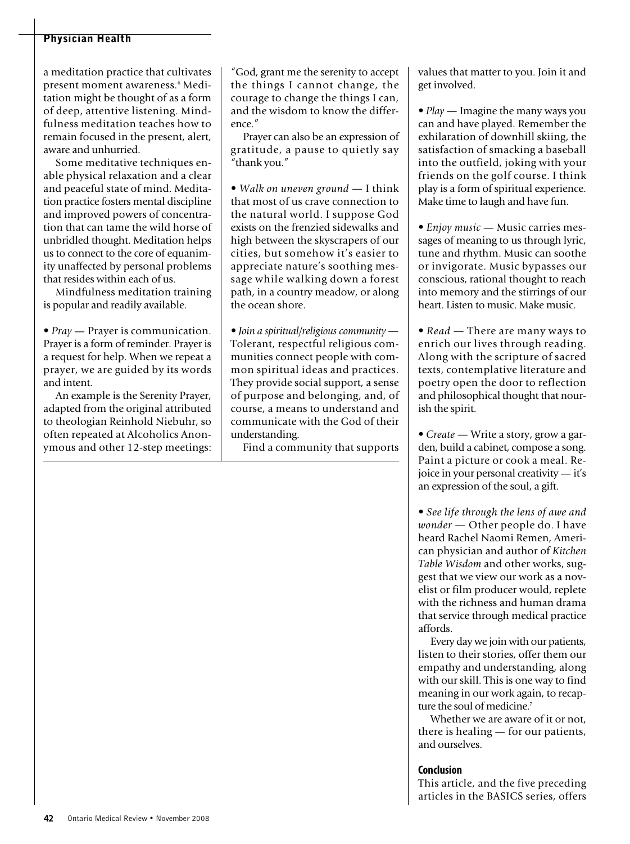## **Physician Health**

a meditation practice that cultivates present moment awareness. <sup>6</sup> Meditation might be thought of as a form of deep, attentive listening. Mindfulness meditation teaches how to remain focused in the present, alert, aware and unhurried.

Some meditative techniques enable physical relaxation and a clear and peaceful state of mind. Meditation practice fosters mental discipline and improved powers of concentration that can tame the wild horse of unbridled thought. Meditation helps us to connect to the core of equanimity unaffected by personal problems that resides within each of us.

Mindfulness meditation training is popular and readily available.

*• Pray* — Prayer is communication. Prayer is a form of reminder. Prayer is a request for help. When we repeat a prayer, we are guided by its words and intent.

An example is the Serenity Prayer, adapted from the original attributed to theologian Reinhold Niebuhr, so often repeated at Alcoholics Anonymous and other 12-step meetings:

"God, grant me the serenity to accept the things I cannot change, the courage to change the things I can, and the wisdom to know the difference."

Prayer can also be an expression of gratitude, a pause to quietly say "thank you."

*• Walk on uneven ground —* I think that most of us crave connection to the natural world. I suppose God exists on the frenzied sidewalks and high between the skyscrapers of our cities, but somehow it's easier to appreciate nature's soothing message while walking down a forest path, in a country meadow, or along the ocean shore.

*• Join a spiritual/religious community —* Tolerant, respectful religious communities connect people with common spiritual ideas and practices. They provide social support, a sense of purpose and belonging, and, of course, a means to understand and communicate with the God of their understanding.

Find a community that supports

values that matter to you. Join it and get involved.

*• Play —* Imagine the many ways you can and have played. Remember the exhilaration of downhill skiing, the satisfaction of smacking a baseball into the outfield, joking with your friends on the golf course. I think play is a form of spiritual experience. Make time to laugh and have fun.

*• Enjoy music* — Music carries messages of meaning to us through lyric, tune and rhythm. Music can soothe or invigorate. Music bypasses our conscious, rational thought to reach into memory and the stirrings of our heart. Listen to music. Make music.

*• Read —* There are many ways to enrich our lives through reading. Along with the scripture of sacred texts, contemplative literature and poetry open the door to reflection and philosophical thought that nourish the spirit.

*• Create —* Write a story, grow a garden, build a cabinet, compose a song. Paint a picture or cook a meal. Rejoice in your personal creativity — it's an expression of the soul, a gift.

*• See life through the lens of awe and wonder —* Other people do. I have heard Rachel Naomi Remen, American physician and author of *Kitchen Table Wisdom* and other works, suggest that we view our work as a novelist or film producer would, replete with the richness and human drama that service through medical practice affords.

Every day we join with our patients, listen to their stories, offer them our empathy and understanding, along with our skill. This is one way to find meaning in our work again, to recapture the soul of medicine. 7

Whether we are aware of it or not, there is healing — for our patients, and ourselves.

#### **Conclusion**

This article, and the five preceding articles in the BASICS series, offers